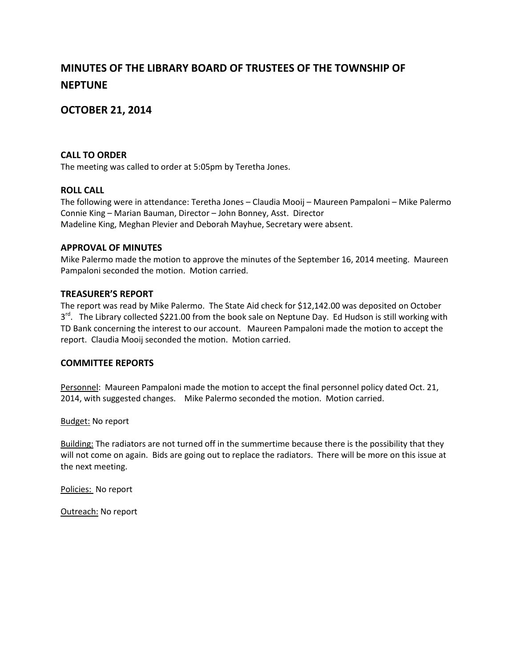# **MINUTES OF THE LIBRARY BOARD OF TRUSTEES OF THE TOWNSHIP OF NEPTUNE**

# **OCTOBER 21, 2014**

# **CALL TO ORDER**

The meeting was called to order at 5:05pm by Teretha Jones.

## **ROLL CALL**

The following were in attendance: Teretha Jones – Claudia Mooij – Maureen Pampaloni – Mike Palermo Connie King – Marian Bauman, Director – John Bonney, Asst. Director Madeline King, Meghan Plevier and Deborah Mayhue, Secretary were absent.

## **APPROVAL OF MINUTES**

Mike Palermo made the motion to approve the minutes of the September 16, 2014 meeting. Maureen Pampaloni seconded the motion. Motion carried.

#### **TREASURER'S REPORT**

The report was read by Mike Palermo. The State Aid check for \$12,142.00 was deposited on October 3<sup>rd</sup>. The Library collected \$221.00 from the book sale on Neptune Day. Ed Hudson is still working with TD Bank concerning the interest to our account. Maureen Pampaloni made the motion to accept the report. Claudia Mooij seconded the motion. Motion carried.

#### **COMMITTEE REPORTS**

Personnel: Maureen Pampaloni made the motion to accept the final personnel policy dated Oct. 21, 2014, with suggested changes. Mike Palermo seconded the motion. Motion carried.

**Budget: No report** 

Building: The radiators are not turned off in the summertime because there is the possibility that they will not come on again. Bids are going out to replace the radiators. There will be more on this issue at the next meeting.

Policies: No report

Outreach: No report